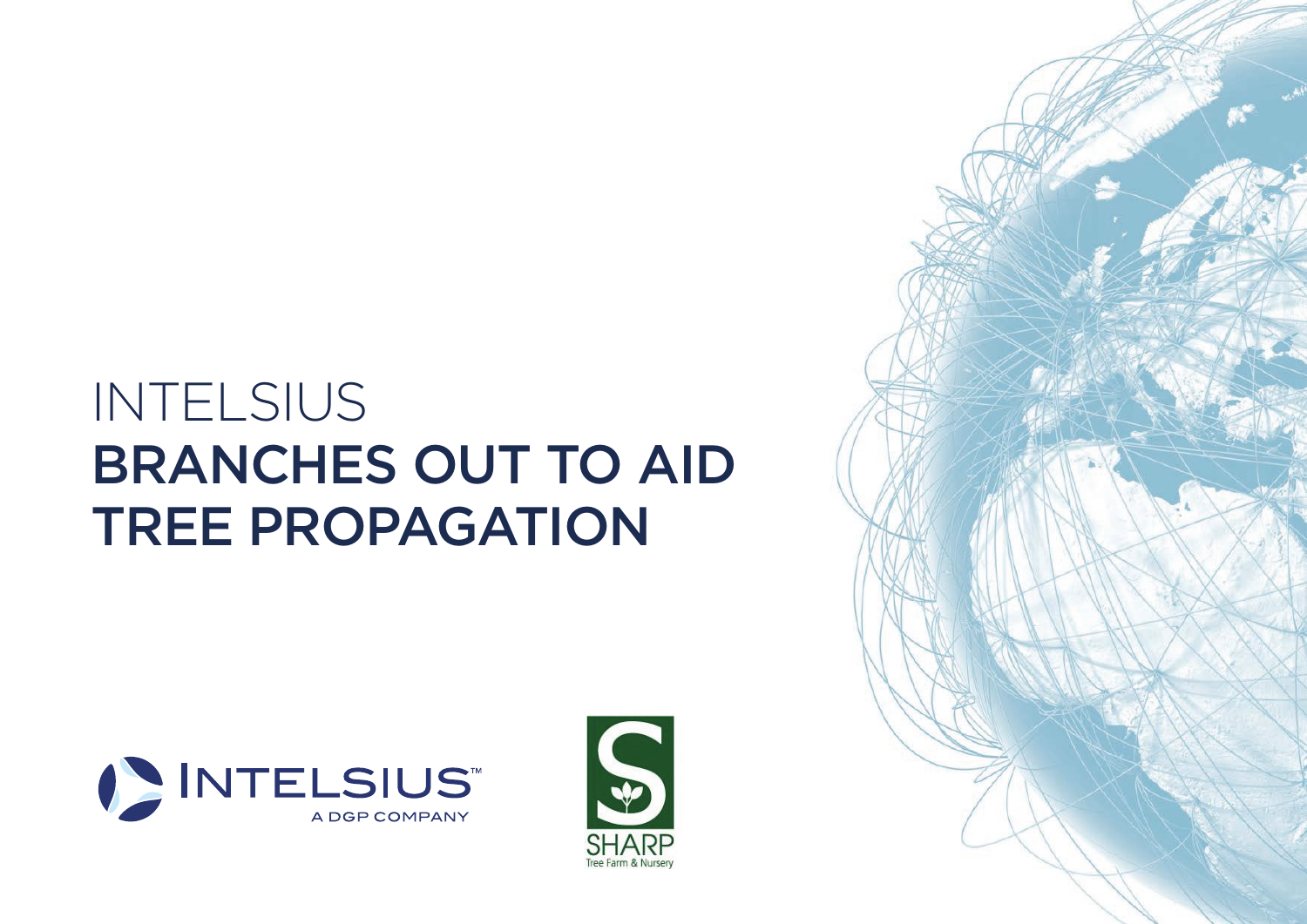## INTELSIUS BRANCHES OUT TO AID TREE PROPAGATION





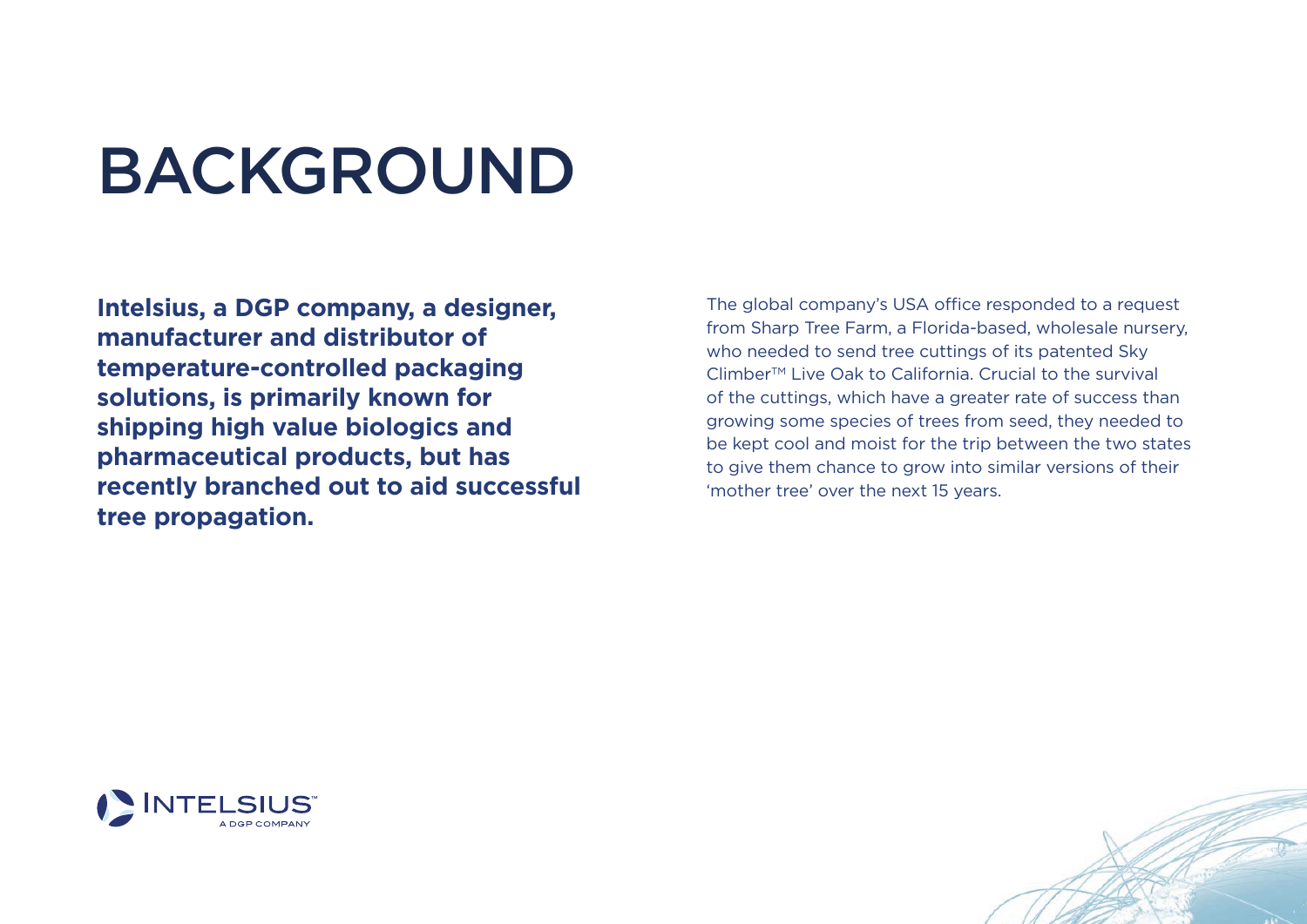## BACKGROUND

**Intelsius, a DGP company, a designer, manufacturer and distributor of temperature-controlled packaging solutions, is primarily known for shipping high value biologics and pharmaceutical products, but has recently branched out to aid successful tree propagation.**

The global company's USA office responded to a request from Sharp Tree Farm, a Florida-based, wholesale nursery, who needed to send tree cuttings of its patented Sky Climber<sup>™</sup> Live Oak to California. Crucial to the survival of the cuttings, which have a greater rate of success than growing some species of trees from seed, they needed to be kept cool and moist for the trip between the two states to give them chance to grow into similar versions of their 'mother tree' over the next 15 years.



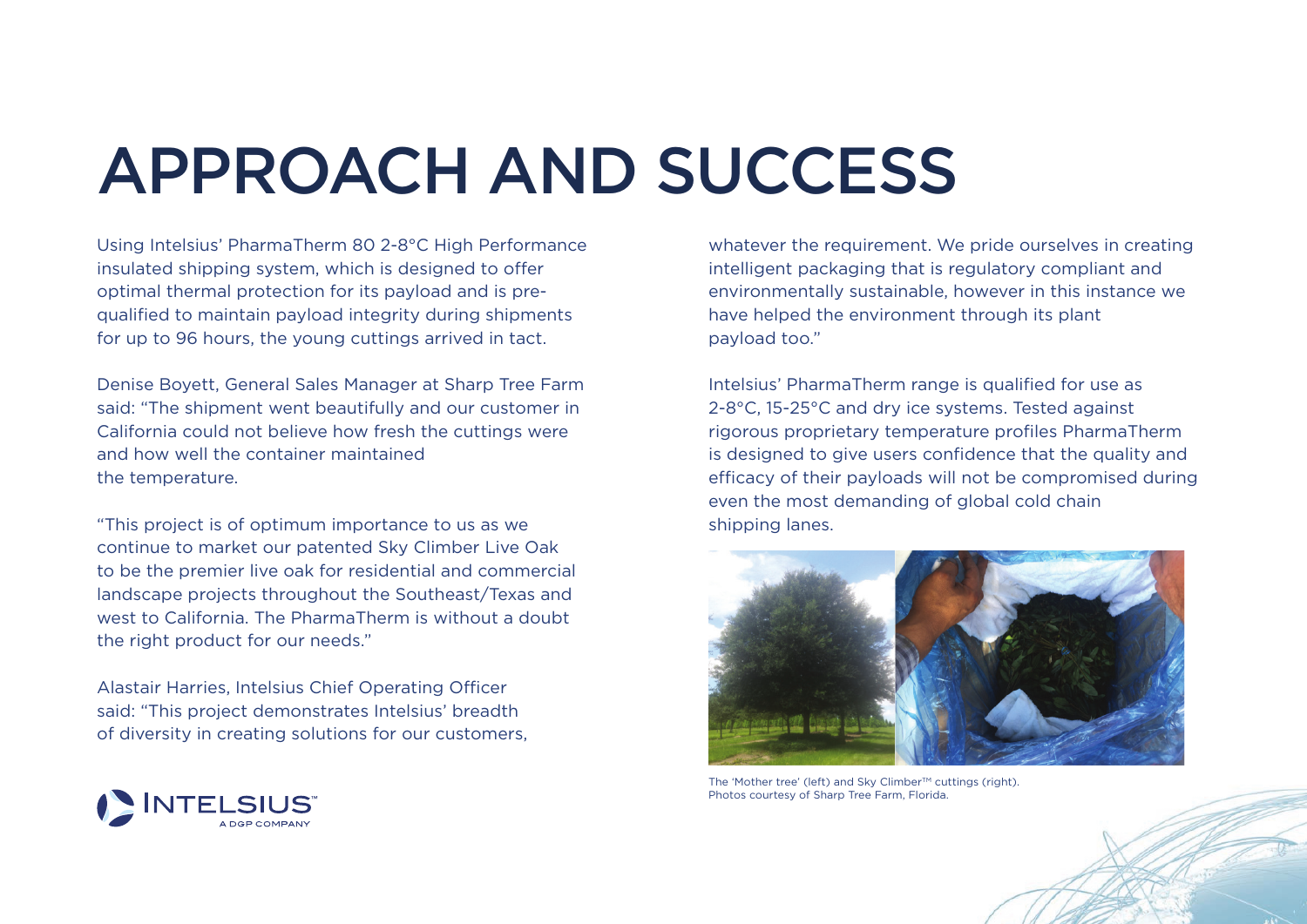## APPROACH AND SUCCESS

Using Intelsius' PharmaTherm 80 2-8°C High Performance insulated shipping system, which is designed to offer optimal thermal protection for its payload and is prequalified to maintain payload integrity during shipments for up to 96 hours, the young cuttings arrived in tact.

Denise Boyett, General Sales Manager at Sharp Tree Farm said: "The shipment went beautifully and our customer in California could not believe how fresh the cuttings were and how well the container maintained the temperature.

"This project is of optimum importance to us as we continue to market our patented Sky Climber Live Oak to be the premier live oak for residential and commercial landscape projects throughout the Southeast/Texas and west to California. The PharmaTherm is without a doubt the right product for our needs."

Alastair Harries, Intelsius Chief Operating Officer said: "This project demonstrates Intelsius' breadth of diversity in creating solutions for our customers,



whatever the requirement. We pride ourselves in creating intelligent packaging that is regulatory compliant and environmentally sustainable, however in this instance we have helped the environment through its plant payload too."

Intelsius' PharmaTherm range is qualified for use as 2-8°C, 15-25°C and dry ice systems. Tested against rigorous proprietary temperature profiles PharmaTherm is designed to give users confidence that the quality and efficacy of their payloads will not be compromised during even the most demanding of global cold chain shipping lanes.



The 'Mother tree' (left) and Sky Climber™ cuttings (right). Photos courtesy of Sharp Tree Farm, Florida.